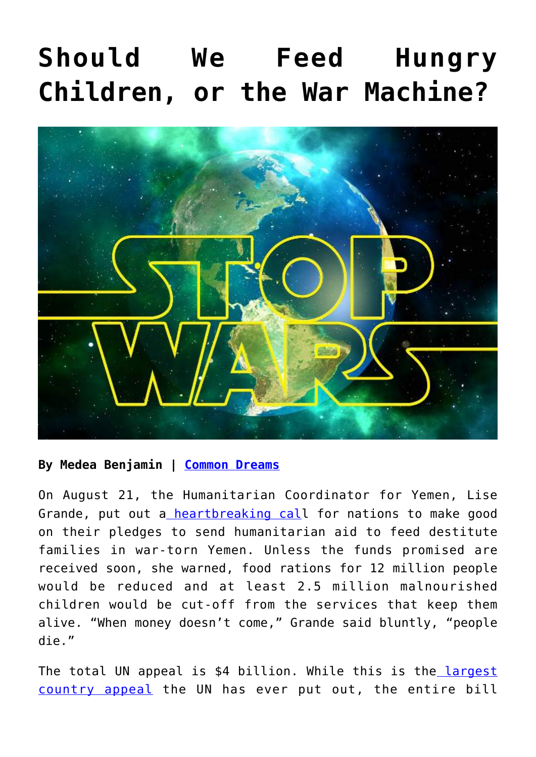## **[Should We Feed Hungry](https://consciouslifenews.com/should-we-feed-hungry-children-or-the-war-machine/11174615/) [Children, or the War Machine?](https://consciouslifenews.com/should-we-feed-hungry-children-or-the-war-machine/11174615/)**



## **By Medea Benjamin | [Common Dreams](https://www.commondreams.org/views/2019/09/05/should-we-feed-hungry-children-or-war-machine)**

On August 21, the Humanitarian Coordinator for Yemen, Lise Grande, put out a [heartbreaking cal](https://reliefweb.int/report/yemen/humanitarian-programmes-yemen-forced-shut-due-lack-funding-enar)l for nations to make good on their pledges to send humanitarian aid to feed destitute families in war-torn Yemen. Unless the funds promised are received soon, she warned, food rations for 12 million people would be reduced and at least 2.5 million malnourished children would be cut-off from the services that keep them alive. "When money doesn't come," Grande said bluntly, "people die."

The total UN appeal is \$4 billion. While this is the [largest](http://www.thenewhumanitarian.org/news/2018/12/04/un-appeals-record-4-billion-help-people-yemen) [country appeal](http://www.thenewhumanitarian.org/news/2018/12/04/un-appeals-record-4-billion-help-people-yemen) the UN has ever put out, the entire bill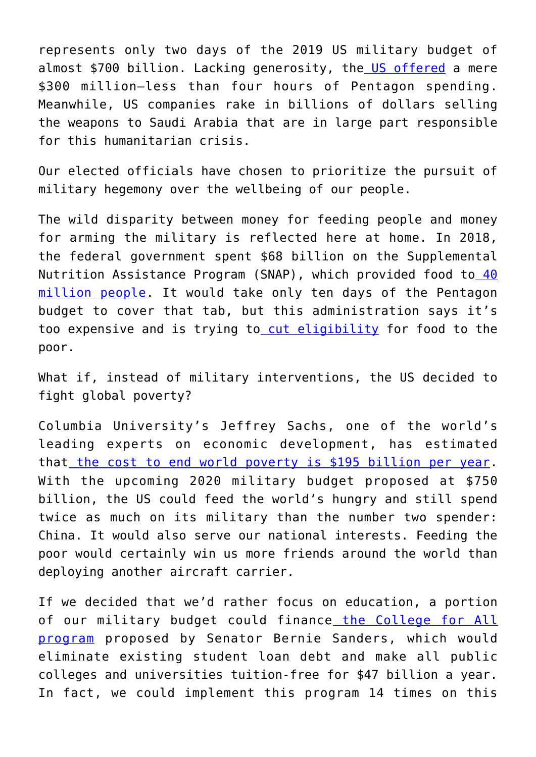represents only two days of the 2019 US military budget of almost \$700 billion. Lacking generosity, th[e US offered](https://www.reuters.com/article/us-yemen-security-un/u-n-calls-out-saudi-arabia-uae-for-not-paying-yemen-aid-pledges-idUSKCN1UD2HF) a mere \$300 million—less than four hours of Pentagon spending. Meanwhile, US companies rake in billions of dollars selling the weapons to Saudi Arabia that are in large part responsible for this humanitarian crisis.

Our elected officials have chosen to prioritize the pursuit of military hegemony over the wellbeing of our people.

The wild disparity between money for feeding people and money for arming the military is reflected here at home. In 2018, the federal government spent \$68 billion on the Supplemental Nutrition Assistance Program (SNAP), which provided food to [40](https://www.cbpp.org/research/food-assistance/policy-basics-the-supplemental-nutrition-assistance-program-snap) [million people.](https://www.cbpp.org/research/food-assistance/policy-basics-the-supplemental-nutrition-assistance-program-snap) It would take only ten days of the Pentagon budget to cover that tab, but this administration says it's too expensive and is trying t[o cut eligibility](https://www.motherjones.com/food/2019/07/would-the-latest-snap-cuts-kick-a-bunch-of-rich-folks-off-food-stamps/) for food to the poor.

What if, instead of military interventions, the US decided to fight global poverty?

Columbia University's Jeffrey Sachs, one of the world's leading experts on economic development, has estimated that [the cost to end world poverty is \\$195 billion per year.](https://www.nytimes.com/2005/04/24/books/review/the-end-of-poverty-brother-can-you-spare-195-billion.html) With the upcoming 2020 military budget proposed at \$750 billion, the US could feed the world's hungry and still spend twice as much on its military than the number two spender: China. It would also serve our national interests. Feeding the poor would certainly win us more friends around the world than deploying another aircraft carrier.

If we decided that we'd rather focus on education, a portion of our military budget could finance [the College for All](https://www.sanders.senate.gov/download/collegeforallsummary/?inline=file) [program](https://www.sanders.senate.gov/download/collegeforallsummary/?inline=file) proposed by Senator Bernie Sanders, which would eliminate existing student loan debt and make all public colleges and universities tuition-free for \$47 billion a year. In fact, we could implement this program 14 times on this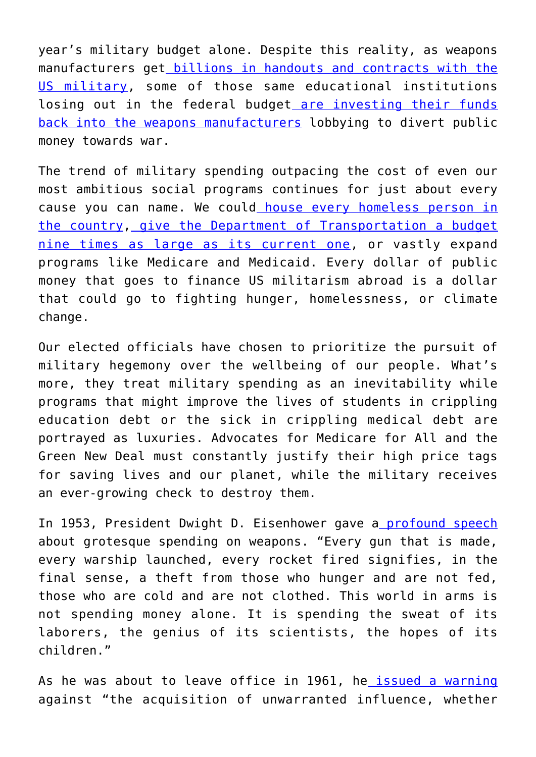year's military budget alone. Despite this reality, as weapons manufacturers get [billions in handouts and contracts with the](https://in.reuters.com/article/lockheed-defense/pentagon-awards-lockheed-24-billion-contract-for-f-35-spare-parts-idINKCN1VD2I2) [US military,](https://in.reuters.com/article/lockheed-defense/pentagon-awards-lockheed-24-billion-contract-for-f-35-spare-parts-idINKCN1VD2I2) some of those same educational institutions losing out in the federal budget [are investing their funds](https://www.divestfromwarmachine.org/search_for_funds_by_name) [back into the weapons manufacturers](https://www.divestfromwarmachine.org/search_for_funds_by_name) lobbying to divert public money towards war.

The trend of military spending outpacing the cost of even our most ambitious social programs continues for just about every cause you can name. We could [house every homeless person in](https://slate.com/business/2016/07/its-time-for-universal-housing-vouchers.html) [the country](https://slate.com/business/2016/07/its-time-for-universal-housing-vouchers.html), [give the Department of Transportation a budget](https://www.transportation.gov/sites/dot.gov/files/docs/mission/budget/304476/508dotbh2019-b.pdf) [nine times as large as its current one,](https://www.transportation.gov/sites/dot.gov/files/docs/mission/budget/304476/508dotbh2019-b.pdf) or vastly expand programs like Medicare and Medicaid. Every dollar of public money that goes to finance US militarism abroad is a dollar that could go to fighting hunger, homelessness, or climate change.

Our elected officials have chosen to prioritize the pursuit of military hegemony over the wellbeing of our people. What's more, they treat military spending as an inevitability while programs that might improve the lives of students in crippling education debt or the sick in crippling medical debt are portrayed as luxuries. Advocates for Medicare for All and the Green New Deal must constantly justify their high price tags for saving lives and our planet, while the military receives an ever-growing check to destroy them.

In 1953, President Dwight D. Eisenhower gave [a profound speech](https://harpers.org/blog/2007/11/eisenhower-on-the-opportunity-cost-of-defense-spending/) about grotesque spending on weapons. "Every gun that is made, every warship launched, every rocket fired signifies, in the final sense, a theft from those who hunger and are not fed, those who are cold and are not clothed. This world in arms is not spending money alone. It is spending the sweat of its laborers, the genius of its scientists, the hopes of its children."

As he was about to leave office in 1961, he [issued a warning](https://en.wikipedia.org/wiki/Eisenhower%27s_farewell_address) against "the acquisition of unwarranted influence, whether